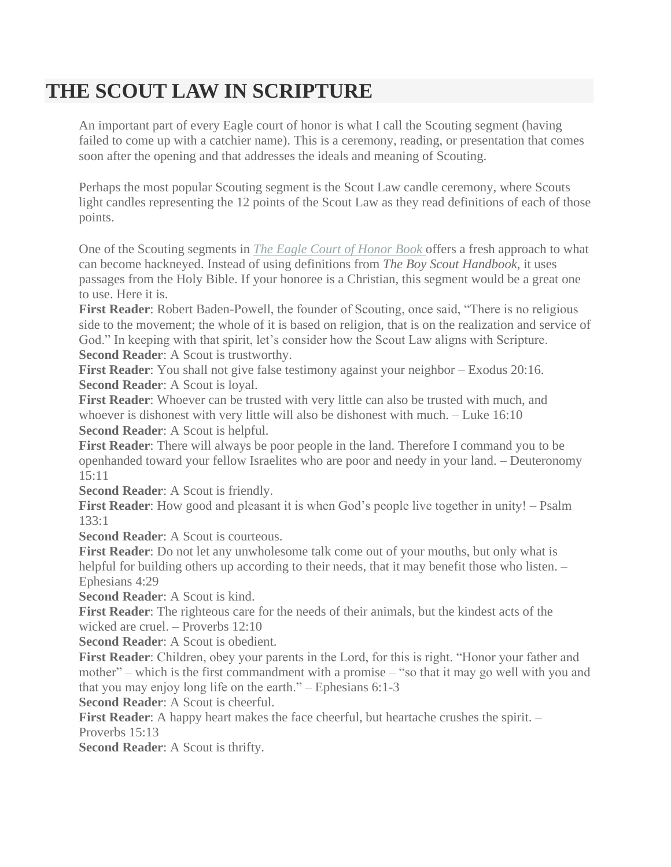## **THE SCOUT LAW IN SCRIPTURE**

An important part of every Eagle court of honor is what I call the Scouting segment (having failed to come up with a catchier name). This is a ceremony, reading, or presentation that comes soon after the opening and that addresses the ideals and meaning of Scouting.

Perhaps the most popular Scouting segment is the Scout Law candle ceremony, where Scouts light candles representing the 12 points of the Scout Law as they read definitions of each of those points.

One of the Scouting segments in *The Eagle Court of [Honor](http://eaglebook.com/eagleCourt.htm) Book* offers a fresh approach to what can become hackneyed. Instead of using definitions from *The Boy Scout Handbook*, it uses passages from the Holy Bible. If your honoree is a Christian, this segment would be a great one to use. Here it is.

**First Reader**: Robert Baden-Powell, the founder of Scouting, once said, "There is no religious side to the movement; the whole of it is based on religion, that is on the realization and service of God." In keeping with that spirit, let's consider how the Scout Law aligns with Scripture. **Second Reader**: A Scout is trustworthy.

**First Reader**: You shall not give false testimony against your neighbor – Exodus 20:16. **Second Reader**: A Scout is loyal.

**First Reader**: Whoever can be trusted with very little can also be trusted with much, and whoever is dishonest with very little will also be dishonest with much. – Luke 16:10 **Second Reader**: A Scout is helpful.

**First Reader**: There will always be poor people in the land. Therefore I command you to be openhanded toward your fellow Israelites who are poor and needy in your land. – Deuteronomy 15:11

**Second Reader**: A Scout is friendly.

**First Reader**: How good and pleasant it is when God's people live together in unity! – Psalm  $133 \cdot 1$ 

**Second Reader**: A Scout is courteous.

**First Reader**: Do not let any unwholesome talk come out of your mouths, but only what is helpful for building others up according to their needs, that it may benefit those who listen. – Ephesians 4:29

**Second Reader**: A Scout is kind.

**First Reader**: The righteous care for the needs of their animals, but the kindest acts of the wicked are cruel. – Proverbs 12:10

**Second Reader**: A Scout is obedient.

**First Reader**: Children, obey your parents in the Lord, for this is right. "Honor your father and mother" – which is the first commandment with a promise – "so that it may go well with you and that you may enjoy long life on the earth." – Ephesians 6:1-3

**Second Reader**: A Scout is cheerful.

**First Reader**: A happy heart makes the face cheerful, but heartache crushes the spirit. – Proverbs 15:13

**Second Reader**: A Scout is thrifty.